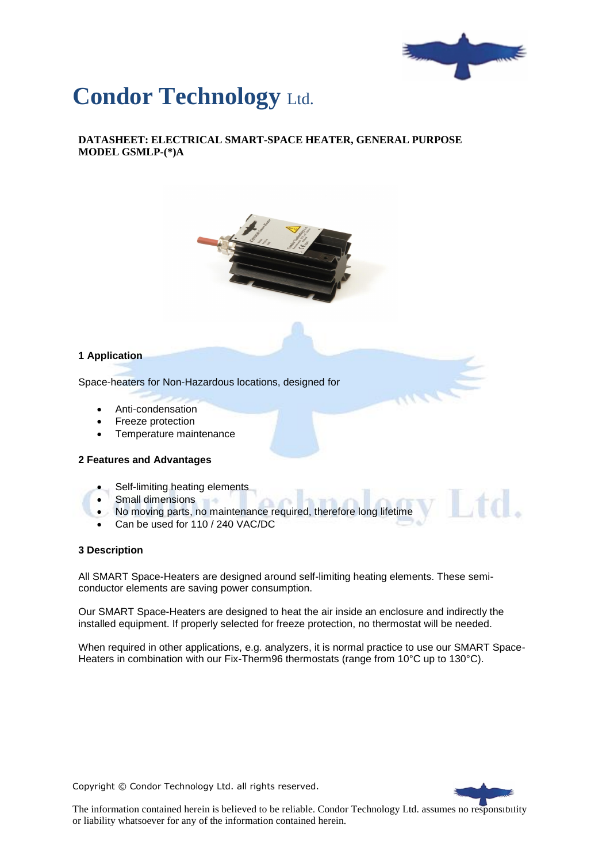

# **Condor Technology** Ltd.

**DATASHEET: ELECTRICAL SMART-SPACE HEATER, GENERAL PURPOSE MODEL GSMLP-(\*)A**



### **1 Application**

Space-heaters for Non-Hazardous locations, designed for

- Anti-condensation
- Freeze protection
- Temperature maintenance

#### **2 Features and Advantages**

- Self-limiting heating elements
- Small dimensions
- No moving parts, no maintenance required, therefore long lifetime
- Can be used for 110 / 240 VAC/DC

#### **3 Description**

All SMART Space-Heaters are designed around self-limiting heating elements. These semiconductor elements are saving power consumption.

Our SMART Space-Heaters are designed to heat the air inside an enclosure and indirectly the installed equipment. If properly selected for freeze protection, no thermostat will be needed.

When required in other applications, e.g. analyzers, it is normal practice to use our SMART Space-Heaters in combination with our Fix-Therm96 thermostats (range from 10°C up to 130°C).

Copyright © Condor Technology Ltd. all rights reserved.



td.

The information contained herein is believed to be reliable. Condor Technology Ltd. assumes no responsibility or liability whatsoever for any of the information contained herein.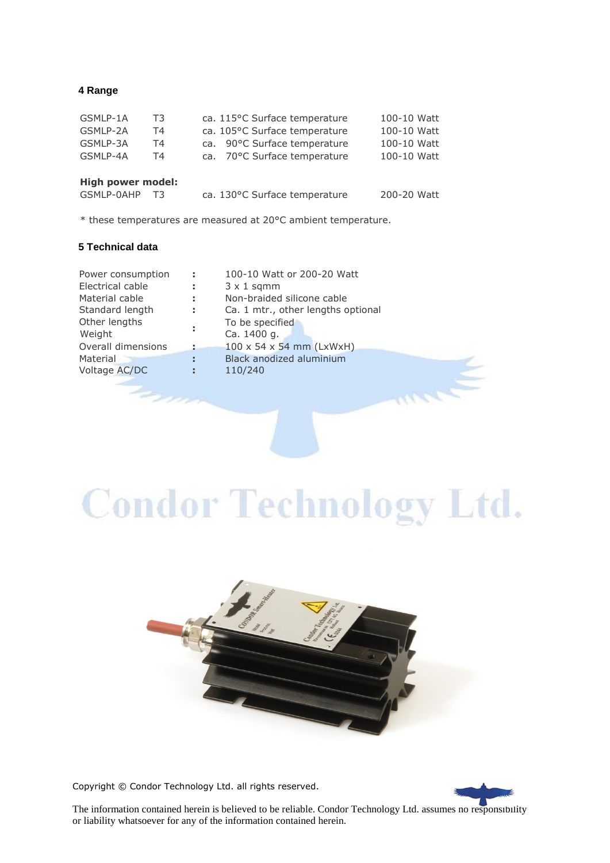### **4 Range**

| GSMLP-1A | T3 | ca. 115°C Surface temperature | 100-10 Watt |
|----------|----|-------------------------------|-------------|
| GSMLP-2A | Τ4 | ca. 105°C Surface temperature | 100-10 Watt |
| GSMLP-3A | Τ4 | ca. 90°C Surface temperature  | 100-10 Watt |
| GSMLP-4A | Τ4 | ca. 70°C Surface temperature  | 100-10 Watt |
|          |    |                               |             |
| .        |    |                               |             |

#### **High power model:** GSMLP-0AHP T3 ca. 130°C Surface temperature 200-20 Watt

\* these temperatures are measured at 20°C ambient temperature.

## **5 Technical data**

| Power consumption  | ÷  | 100-10 Watt or 200-20 Watt           |
|--------------------|----|--------------------------------------|
| Electrical cable   | ÷  | $3 \times 1$ sqmm                    |
| Material cable     | ÷. | Non-braided silicone cable           |
| Standard length    | ÷. | Ca. 1 mtr., other lengths optional   |
| Other lengths      |    | To be specified                      |
| Weight             | ÷  | Ca. 1400 g.                          |
| Overall dimensions |    | $100 \times 54 \times 54$ mm (LxWxH) |
| Material           | ÷  | <b>Black anodized aluminium</b>      |
| Voltage AC/DC      | я  | 110/240                              |
|                    |    |                                      |

# **Condor Technology Ltd.**



Copyright © Condor Technology Ltd. all rights reserved.



The information contained herein is believed to be reliable. Condor Technology Ltd. assumes no responsibility or liability whatsoever for any of the information contained herein.